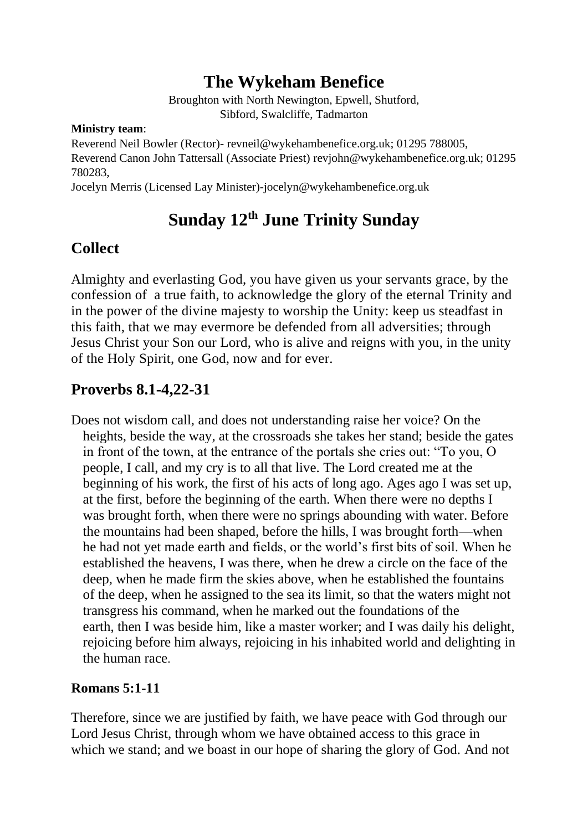# **The Wykeham Benefice**

Broughton with North Newington, Epwell, Shutford, Sibford, Swalcliffe, Tadmarton

#### **Ministry team**:

Reverend Neil Bowler (Rector)- revneil@wykehambenefice.org.uk; 01295 788005, Reverend Canon John Tattersall (Associate Priest) [revjohn@wykehambenefice.org.uk;](mailto:revjohn@wykehambenefice.org.uk) 01295 780283,

Jocelyn Merris (Licensed Lay Minister)-jocelyn@wykehambenefice.org.uk

# **Sunday 12th June Trinity Sunday**

### **Collect**

Almighty and everlasting God, you have given us your servants grace, by the confession of a true faith, to acknowledge the glory of the eternal Trinity and in the power of the divine majesty to worship the Unity: keep us steadfast in this faith, that we may evermore be defended from all adversities; through Jesus Christ your Son our Lord, who is alive and reigns with you, in the unity of the Holy Spirit, one God, now and for ever.

### **Proverbs 8.1-4,22-31**

Does not wisdom call, and does not understanding raise her voice? On the heights, beside the way, at the crossroads she takes her stand; beside the gates in front of the town, at the entrance of the portals she cries out: "To you, O people, I call, and my cry is to all that live. The Lord created me at the beginning of his work, the first of his acts of long ago. Ages ago I was set up, at the first, before the beginning of the earth. When there were no depths I was brought forth, when there were no springs abounding with water. Before the mountains had been shaped, before the hills, I was brought forth—when he had not yet made earth and fields, or the world's first bits of soil. When he established the heavens, I was there, when he drew a circle on the face of the deep, when he made firm the skies above, when he established the fountains of the deep, when he assigned to the sea its limit, so that the waters might not transgress his command, when he marked out the foundations of the earth, then I was beside him, like a master worker; and I was daily his delight, rejoicing before him always, rejoicing in his inhabited world and delighting in the human race.

#### **Romans 5:1-11**

Therefore, since we are justified by faith, we have peace with God through our Lord Jesus Christ, through whom we have obtained access to this grace in which we stand; and we boast in our hope of sharing the glory of God. And not